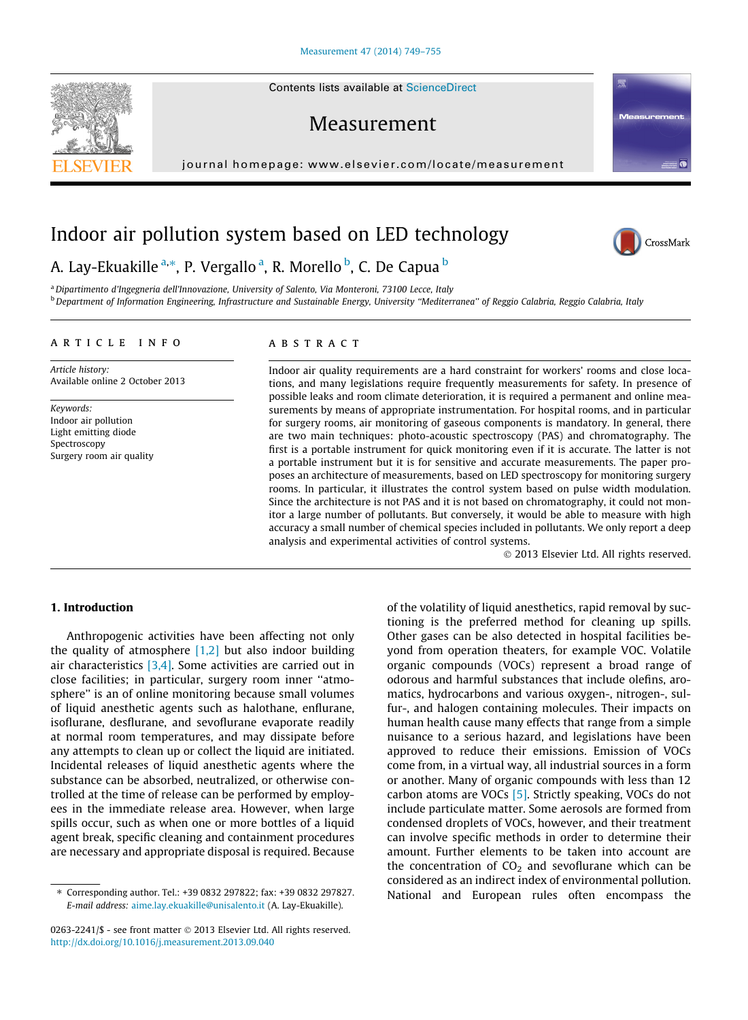Contents lists available at [ScienceDirect](http://www.sciencedirect.com/science/journal/02632241)

### Measurement

journal homepage: [www.elsevier.com/locate/measurement](http://www.elsevier.com/locate/measurement)

## Indoor air pollution system based on LED technology

### A. Lay-Ekuakille <sup>a,\*</sup>, P. Vergallo <sup>a</sup>, R. Morello <sup>b</sup>, C. De Capua <sup>b</sup>

<sup>a</sup> Dipartimento d'Ingegneria dell'Innovazione, University of Salento, Via Monteroni, 73100 Lecce, Italy <sup>b</sup> Department of Information Engineering, Infrastructure and Sustainable Energy, University "Mediterranea" of Reggio Calabria, Reggio Calabria, Italy

#### article info

Article history: Available online 2 October 2013

Keywords: Indoor air pollution Light emitting diode Spectroscopy Surgery room air quality

#### **ABSTRACT**

Indoor air quality requirements are a hard constraint for workers' rooms and close locations, and many legislations require frequently measurements for safety. In presence of possible leaks and room climate deterioration, it is required a permanent and online measurements by means of appropriate instrumentation. For hospital rooms, and in particular for surgery rooms, air monitoring of gaseous components is mandatory. In general, there are two main techniques: photo-acoustic spectroscopy (PAS) and chromatography. The first is a portable instrument for quick monitoring even if it is accurate. The latter is not a portable instrument but it is for sensitive and accurate measurements. The paper proposes an architecture of measurements, based on LED spectroscopy for monitoring surgery rooms. In particular, it illustrates the control system based on pulse width modulation. Since the architecture is not PAS and it is not based on chromatography, it could not monitor a large number of pollutants. But conversely, it would be able to measure with high accuracy a small number of chemical species included in pollutants. We only report a deep analysis and experimental activities of control systems.

- 2013 Elsevier Ltd. All rights reserved.

#### 1. Introduction

Anthropogenic activities have been affecting not only the quality of atmosphere  $[1,2]$  but also indoor building air characteristics [\[3,4\].](#page--1-0) Some activities are carried out in close facilities; in particular, surgery room inner ''atmosphere'' is an of online monitoring because small volumes of liquid anesthetic agents such as halothane, enflurane, isoflurane, desflurane, and sevoflurane evaporate readily at normal room temperatures, and may dissipate before any attempts to clean up or collect the liquid are initiated. Incidental releases of liquid anesthetic agents where the substance can be absorbed, neutralized, or otherwise controlled at the time of release can be performed by employees in the immediate release area. However, when large spills occur, such as when one or more bottles of a liquid agent break, specific cleaning and containment procedures are necessary and appropriate disposal is required. Because

of the volatility of liquid anesthetics, rapid removal by suctioning is the preferred method for cleaning up spills. Other gases can be also detected in hospital facilities beyond from operation theaters, for example VOC. Volatile organic compounds (VOCs) represent a broad range of odorous and harmful substances that include olefins, aromatics, hydrocarbons and various oxygen-, nitrogen-, sulfur-, and halogen containing molecules. Their impacts on human health cause many effects that range from a simple nuisance to a serious hazard, and legislations have been approved to reduce their emissions. Emission of VOCs come from, in a virtual way, all industrial sources in a form or another. Many of organic compounds with less than 12 carbon atoms are VOCs [\[5\].](#page--1-0) Strictly speaking, VOCs do not include particulate matter. Some aerosols are formed from condensed droplets of VOCs, however, and their treatment can involve specific methods in order to determine their amount. Further elements to be taken into account are the concentration of  $CO<sub>2</sub>$  and sevoflurane which can be considered as an indirect index of environmental pollution. National and European rules often encompass the







<sup>⇑</sup> Corresponding author. Tel.: +39 0832 297822; fax: +39 0832 297827. E-mail address: [aime.lay.ekuakille@unisalento.it](mailto:aime.lay.ekuakille@unisalento.it) (A. Lay-Ekuakille).

<sup>0263-2241/\$ -</sup> see front matter © 2013 Elsevier Ltd. All rights reserved. <http://dx.doi.org/10.1016/j.measurement.2013.09.040>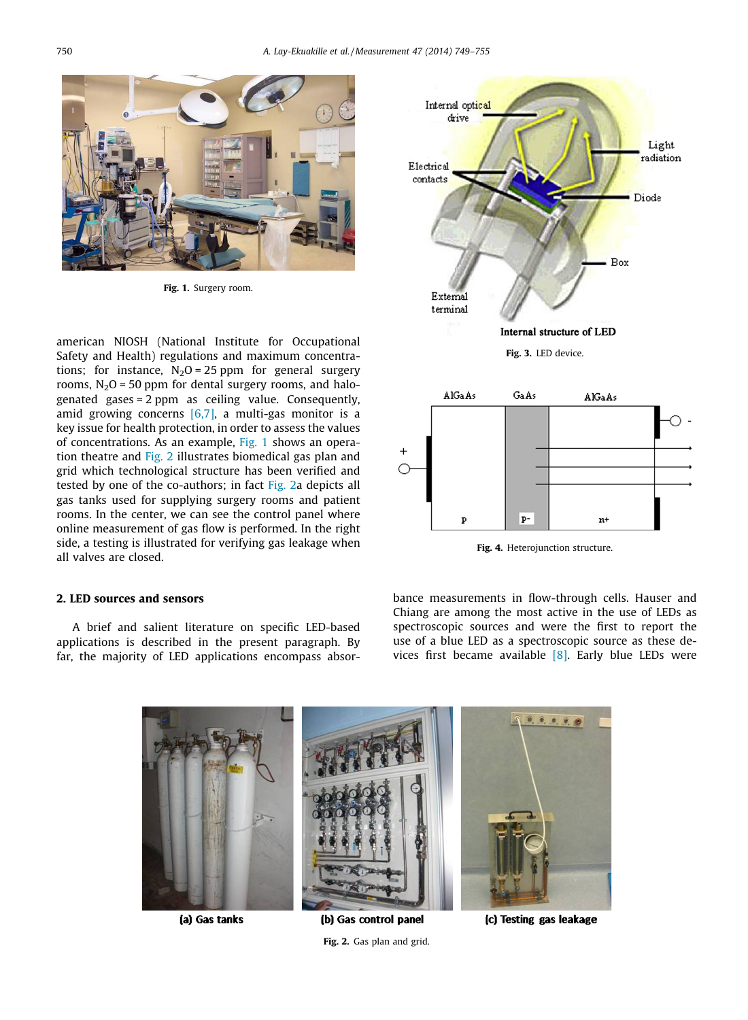

Fig. 1. Surgery room.

american NIOSH (National Institute for Occupational Safety and Health) regulations and maximum concentrations; for instance,  $N_2O = 25$  ppm for general surgery rooms,  $N_2O = 50$  ppm for dental surgery rooms, and halogenated gases = 2 ppm as ceiling value. Consequently, amid growing concerns  $[6,7]$ , a multi-gas monitor is a key issue for health protection, in order to assess the values of concentrations. As an example, Fig. 1 shows an operation theatre and Fig. 2 illustrates biomedical gas plan and grid which technological structure has been verified and tested by one of the co-authors; in fact Fig. 2a depicts all gas tanks used for supplying surgery rooms and patient rooms. In the center, we can see the control panel where online measurement of gas flow is performed. In the right side, a testing is illustrated for verifying gas leakage when all valves are closed.

#### 2. LED sources and sensors

A brief and salient literature on specific LED-based applications is described in the present paragraph. By far, the majority of LED applications encompass absor-



Fig. 3. LED device.



Fig. 4. Heterojunction structure.

bance measurements in flow-through cells. Hauser and Chiang are among the most active in the use of LEDs as spectroscopic sources and were the first to report the use of a blue LED as a spectroscopic source as these devices first became available [\[8\]](#page--1-0). Early blue LEDs were



(a) Gas tanks

(b) Gas control panel Fig. 2. Gas plan and grid.

(c) Testing gas leakage